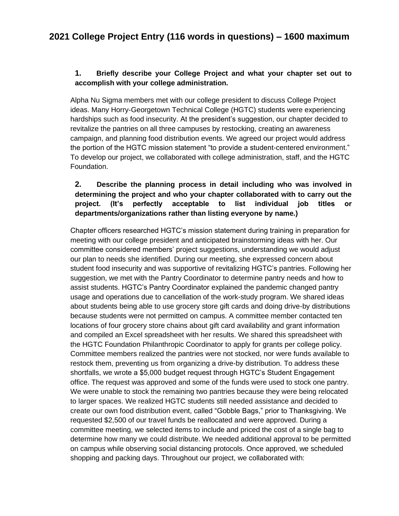#### **1. Briefly describe your College Project and what your chapter set out to accomplish with your college administration.**

Alpha Nu Sigma members met with our college president to discuss College Project ideas. Many Horry-Georgetown Technical College (HGTC) students were experiencing hardships such as food insecurity. At the president's suggestion, our chapter decided to revitalize the pantries on all three campuses by restocking, creating an awareness campaign, and planning food distribution events. We agreed our project would address the portion of the HGTC mission statement "to provide a student-centered environment." To develop our project, we collaborated with college administration, staff, and the HGTC Foundation.

### **2. Describe the planning process in detail including who was involved in determining the project and who your chapter collaborated with to carry out the project. (It's perfectly acceptable to list individual job titles or departments/organizations rather than listing everyone by name.)**

Chapter officers researched HGTC's mission statement during training in preparation for meeting with our college president and anticipated brainstorming ideas with her. Our committee considered members' project suggestions, understanding we would adjust our plan to needs she identified. During our meeting, she expressed concern about student food insecurity and was supportive of revitalizing HGTC's pantries. Following her suggestion, we met with the Pantry Coordinator to determine pantry needs and how to assist students. HGTC's Pantry Coordinator explained the pandemic changed pantry usage and operations due to cancellation of the work-study program. We shared ideas about students being able to use grocery store gift cards and doing drive-by distributions because students were not permitted on campus. A committee member contacted ten locations of four grocery store chains about gift card availability and grant information and compiled an Excel spreadsheet with her results. We shared this spreadsheet with the HGTC Foundation Philanthropic Coordinator to apply for grants per college policy. Committee members realized the pantries were not stocked, nor were funds available to restock them, preventing us from organizing a drive-by distribution. To address these shortfalls, we wrote a \$5,000 budget request through HGTC's Student Engagement office. The request was approved and some of the funds were used to stock one pantry. We were unable to stock the remaining two pantries because they were being relocated to larger spaces. We realized HGTC students still needed assistance and decided to create our own food distribution event, called "Gobble Bags," prior to Thanksgiving. We requested \$2,500 of our travel funds be reallocated and were approved. During a committee meeting, we selected items to include and priced the cost of a single bag to determine how many we could distribute. We needed additional approval to be permitted on campus while observing social distancing protocols. Once approved, we scheduled shopping and packing days. Throughout our project, we collaborated with: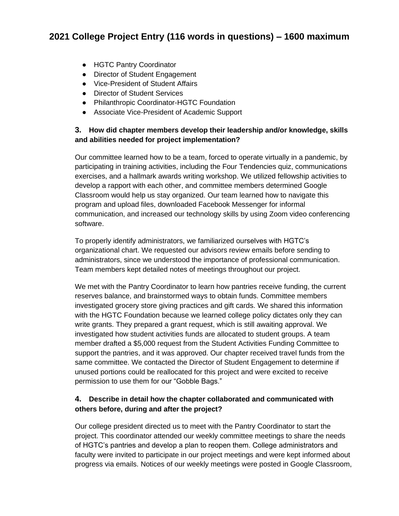# **2021 College Project Entry (116 words in questions) – 1600 maximum**

- HGTC Pantry Coordinator
- Director of Student Engagement
- Vice-President of Student Affairs
- Director of Student Services
- Philanthropic Coordinator-HGTC Foundation
- Associate Vice-President of Academic Support

#### **3. How did chapter members develop their leadership and/or knowledge, skills and abilities needed for project implementation?**

Our committee learned how to be a team, forced to operate virtually in a pandemic, by participating in training activities, including the Four Tendencies quiz, communications exercises, and a hallmark awards writing workshop. We utilized fellowship activities to develop a rapport with each other, and committee members determined Google Classroom would help us stay organized. Our team learned how to navigate this program and upload files, downloaded Facebook Messenger for informal communication, and increased our technology skills by using Zoom video conferencing software.

To properly identify administrators, we familiarized ourselves with HGTC's organizational chart. We requested our advisors review emails before sending to administrators, since we understood the importance of professional communication. Team members kept detailed notes of meetings throughout our project.

We met with the Pantry Coordinator to learn how pantries receive funding, the current reserves balance, and brainstormed ways to obtain funds. Committee members investigated grocery store giving practices and gift cards. We shared this information with the HGTC Foundation because we learned college policy dictates only they can write grants. They prepared a grant request, which is still awaiting approval. We investigated how student activities funds are allocated to student groups. A team member drafted a \$5,000 request from the Student Activities Funding Committee to support the pantries, and it was approved. Our chapter received travel funds from the same committee. We contacted the Director of Student Engagement to determine if unused portions could be reallocated for this project and were excited to receive permission to use them for our "Gobble Bags."

#### **4. Describe in detail how the chapter collaborated and communicated with others before, during and after the project?**

Our college president directed us to meet with the Pantry Coordinator to start the project. This coordinator attended our weekly committee meetings to share the needs of HGTC's pantries and develop a plan to reopen them. College administrators and faculty were invited to participate in our project meetings and were kept informed about progress via emails. Notices of our weekly meetings were posted in Google Classroom,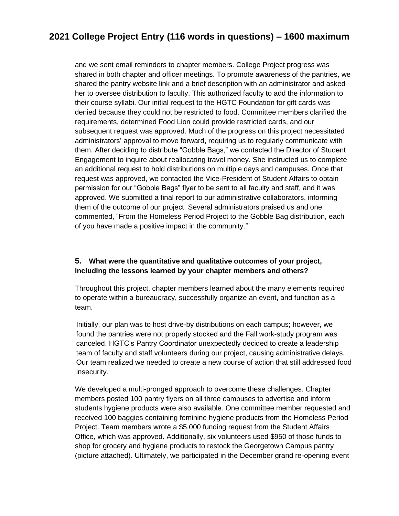## **2021 College Project Entry (116 words in questions) – 1600 maximum**

and we sent email reminders to chapter members. College Project progress was shared in both chapter and officer meetings. To promote awareness of the pantries, we shared the pantry website link and a brief description with an administrator and asked her to oversee distribution to faculty. This authorized faculty to add the information to their course syllabi. Our initial request to the HGTC Foundation for gift cards was denied because they could not be restricted to food. Committee members clarified the requirements, determined Food Lion could provide restricted cards, and our subsequent request was approved. Much of the progress on this project necessitated administrators' approval to move forward, requiring us to regularly communicate with them. After deciding to distribute "Gobble Bags," we contacted the Director of Student Engagement to inquire about reallocating travel money. She instructed us to complete an additional request to hold distributions on multiple days and campuses. Once that request was approved, we contacted the Vice-President of Student Affairs to obtain permission for our "Gobble Bags" flyer to be sent to all faculty and staff, and it was approved. We submitted a final report to our administrative collaborators, informing them of the outcome of our project. Several administrators praised us and one commented, "From the Homeless Period Project to the Gobble Bag distribution, each of you have made a positive impact in the community."

#### **5. What were the quantitative and qualitative outcomes of your project, including the lessons learned by your chapter members and others?**

Throughout this project, chapter members learned about the many elements required to operate within a bureaucracy, successfully organize an event, and function as a team.

Initially, our plan was to host drive-by distributions on each campus; however, we found the pantries were not properly stocked and the Fall work-study program was canceled. HGTC's Pantry Coordinator unexpectedly decided to create a leadership team of faculty and staff volunteers during our project, causing administrative delays. Our team realized we needed to create a new course of action that still addressed food insecurity.

We developed a multi-pronged approach to overcome these challenges. Chapter members posted 100 pantry flyers on all three campuses to advertise and inform students hygiene products were also available. One committee member requested and received 100 baggies containing feminine hygiene products from the Homeless Period Project. Team members wrote a \$5,000 funding request from the Student Affairs Office, which was approved. Additionally, six volunteers used \$950 of those funds to shop for grocery and hygiene products to restock the Georgetown Campus pantry (picture attached). Ultimately, we participated in the December grand re-opening event